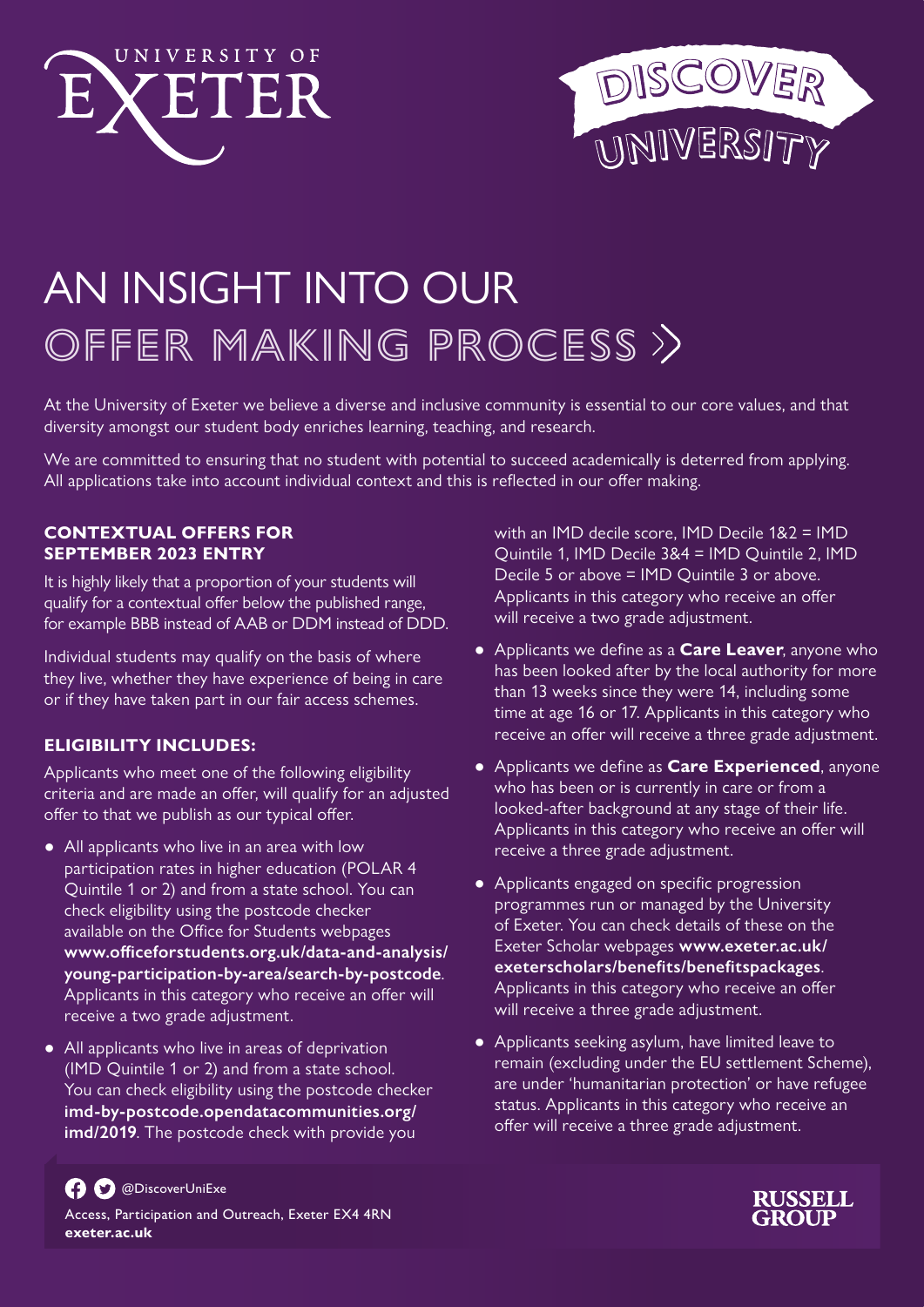



# AN INSIGHT INTO OUR OFFER MAKING PROCESS >>

At the University of Exeter we believe a diverse and inclusive community is essential to our core values, and that diversity amongst our student body enriches learning, teaching, and research.

We are committed to ensuring that no student with potential to succeed academically is deterred from applying. All applications take into account individual context and this is reflected in our offer making.

### **CONTEXTUAL OFFERS FOR SEPTEMBER 2023 ENTRY**

It is highly likely that a proportion of your students will qualify for a contextual offer below the published range, for example BBB instead of AAB or DDM instead of DDD.

Individual students may qualify on the basis of where they live, whether they have experience of being in care or if they have taken part in our fair access schemes.

# **ELIGIBILITY INCLUDES:**

Applicants who meet one of the following eligibility criteria and are made an offer, will qualify for an adjusted offer to that we publish as our typical offer.

- All applicants who live in an area with low participation rates in higher education (POLAR 4 Quintile 1 or 2) and from a state school. You can check eligibility using the postcode checker available on the Office for Students webpages **www.officeforstudents.org.uk/data-and-analysis/ young-participation-by-area/search-by-postcode**. Applicants in this category who receive an offer will receive a two grade adjustment.
- All applicants who live in areas of deprivation (IMD Quintile 1 or 2) and from a state school. You can check eligibility using the postcode checker **imd-by-postcode.opendatacommunities.org/ imd/2019**. The postcode check with provide you

with an IMD decile score, IMD Decile 1&2 = IMD Quintile 1, IMD Decile 3&4 = IMD Quintile 2, IMD Decile 5 or above = IMD Quintile 3 or above. Applicants in this category who receive an offer will receive a two grade adjustment.

- Applicants we define as a **Care Leaver**, anyone who has been looked after by the local authority for more than 13 weeks since they were 14, including some time at age 16 or 17. Applicants in this category who receive an offer will receive a three grade adjustment.
- Applicants we define as **Care Experienced**, anyone who has been or is currently in care or from a looked-after background at any stage of their life. Applicants in this category who receive an offer will receive a three grade adjustment.
- Applicants engaged on specific progression programmes run or managed by the University of Exeter. You can check details of these on the Exeter Scholar webpages **www.exeter.ac.uk/ exeterscholars/benefits/benefitspackages**. Applicants in this category who receive an offer will receive a three grade adjustment.
- Applicants seeking asylum, have limited leave to remain (excluding under the EU settlement Scheme), are under 'humanitarian protection' or have refugee status. Applicants in this category who receive an offer will receive a three grade adjustment.



Access, Participation and Outreach, Exeter EX4 4RN **exeter.ac.uk**

@DiscoverUniExe